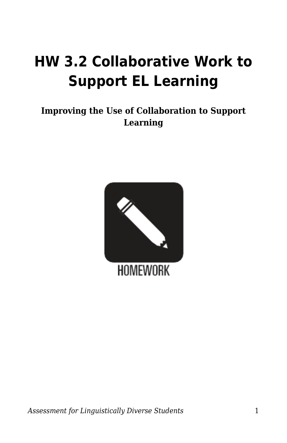## **HW 3.2 Collaborative Work to Support EL Learning**

## **Improving the Use of Collaboration to Support Learning**

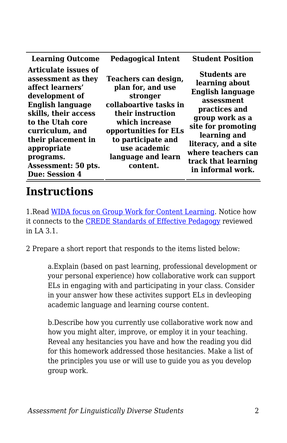| <b>Learning Outcome</b>                                                                                                                                                                                                                                                      | <b>Pedagogical Intent</b>                                                                                                                                                                                               | <b>Student Position</b>                                                                                                                                                                                                                            |
|------------------------------------------------------------------------------------------------------------------------------------------------------------------------------------------------------------------------------------------------------------------------------|-------------------------------------------------------------------------------------------------------------------------------------------------------------------------------------------------------------------------|----------------------------------------------------------------------------------------------------------------------------------------------------------------------------------------------------------------------------------------------------|
| Articulate issues of<br>assessment as they<br>affect learners'<br>development of<br><b>English language</b><br>skills, their access<br>to the Utah core<br>curriculum, and<br>their placement in<br>appropriate<br>programs.<br>Assessment: 50 pts.<br><b>Due: Session 4</b> | Teachers can design,<br>plan for, and use<br>stronger<br>collaboartive tasks in<br>their instruction<br>which increase<br>opportunities for ELs<br>to participate and<br>use academic<br>language and learn<br>content. | <b>Students are</b><br>learning about<br><b>English language</b><br>assessment<br>practices and<br>group work as a<br>site for promoting<br>learning and<br>literacy, and a site<br>where teachers can<br>track that learning<br>in informal work. |

## **Instructions**

1.Read [WIDA focus on Group Work for Content Learning](https://wida.wisc.edu/resources/group-work). Notice how it connects to the [CREDE Standards of Effective Pedagogy](https://byu.box.com/s/czfvqc5ye6giv1vsl94k8u6xospe2w2m) reviewed in LA 3.1.

2 Prepare a short report that responds to the items listed below:

a.Explain (based on past learning, professional development or your personal experience) how collaborative work can support ELs in engaging with and participating in your class. Consider in your answer how these activites support ELs in devleoping academic language and learning course content.

b.Describe how you currently use collaborative work now and how you might alter, improve, or employ it in your teaching. Reveal any hesitancies you have and how the reading you did for this homework addressed those hesitancies. Make a list of the principles you use or will use to guide you as you develop group work.